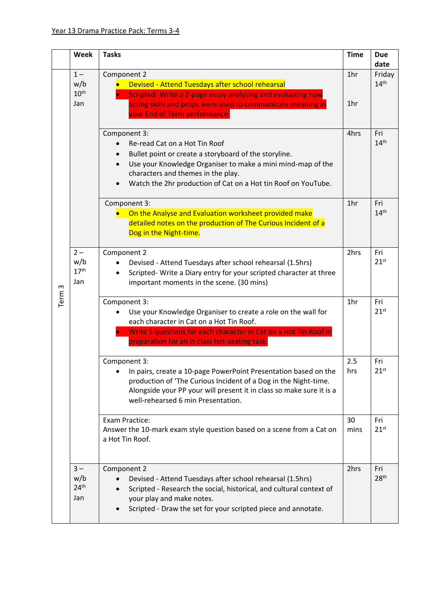|      | Week                    | <b>Tasks</b>                                                                                                                     | <b>Time</b> | <b>Due</b>                 |
|------|-------------------------|----------------------------------------------------------------------------------------------------------------------------------|-------------|----------------------------|
|      |                         |                                                                                                                                  |             | date                       |
|      | $1 -$                   | Component 2                                                                                                                      | 1hr         | Friday<br>14 <sup>th</sup> |
|      | w/b<br>10 <sup>th</sup> | Devised - Attend Tuesdays after school rehearsal<br>Scripted-Write a 2-page essay analysing and evaluating how<br>$\bullet$      |             |                            |
|      | Jan                     | acting skills and props were used to communicate meaning in                                                                      | 1hr         |                            |
|      |                         | your End of Term performance.                                                                                                    |             |                            |
|      |                         |                                                                                                                                  |             |                            |
|      |                         | Component 3:                                                                                                                     | 4hrs        | Fri                        |
|      |                         | Re-read Cat on a Hot Tin Roof                                                                                                    |             | 14 <sup>th</sup>           |
|      |                         | Bullet point or create a storyboard of the storyline.                                                                            |             |                            |
|      |                         | Use your Knowledge Organiser to make a mini mind-map of the                                                                      |             |                            |
|      |                         | characters and themes in the play.                                                                                               |             |                            |
|      |                         | Watch the 2hr production of Cat on a Hot tin Roof on YouTube.                                                                    |             |                            |
|      |                         | Component 3:                                                                                                                     | 1hr         | Fri                        |
|      |                         | On the Analyse and Evaluation worksheet provided make                                                                            |             | 14 <sup>th</sup>           |
|      |                         | detailed notes on the production of The Curious Incident of a                                                                    |             |                            |
|      |                         | Dog in the Night-time.                                                                                                           |             |                            |
|      |                         |                                                                                                                                  |             |                            |
|      | $2 -$<br>w/b            | Component 2                                                                                                                      | 2hrs        | Fri<br>21 <sup>st</sup>    |
|      | 17 <sup>th</sup>        | Devised - Attend Tuesdays after school rehearsal (1.5hrs)<br>Scripted- Write a Diary entry for your scripted character at three  |             |                            |
|      | Jan                     | important moments in the scene. (30 mins)                                                                                        |             |                            |
| ω    |                         |                                                                                                                                  |             |                            |
| Term |                         | Component 3:                                                                                                                     | 1hr         | Fri                        |
|      |                         | Use your Knowledge Organiser to create a role on the wall for                                                                    |             | 21 <sup>st</sup>           |
|      |                         | each character in Cat on a Hot Tin Roof.                                                                                         |             |                            |
|      |                         | Write 5 questions for each character in Cat on a Hot Tin Roof in                                                                 |             |                            |
|      |                         | preparation for an in class hot-seating task.                                                                                    |             |                            |
|      |                         | Component 3:                                                                                                                     | 2.5         | Fri                        |
|      |                         | In pairs, create a 10-page PowerPoint Presentation based on the                                                                  | hrs         | 21 <sup>st</sup>           |
|      |                         | production of 'The Curious Incident of a Dog in the Night-time.                                                                  |             |                            |
|      |                         | Alongside your PP your will present it in class so make sure it is a                                                             |             |                            |
|      |                         | well-rehearsed 6 min Presentation.                                                                                               |             |                            |
|      |                         | <b>Exam Practice:</b>                                                                                                            | 30          | Fri                        |
|      |                         | Answer the 10-mark exam style question based on a scene from a Cat on                                                            | mins        | 21 <sup>st</sup>           |
|      |                         | a Hot Tin Roof.                                                                                                                  |             |                            |
|      |                         |                                                                                                                                  |             |                            |
|      |                         |                                                                                                                                  |             |                            |
|      | $3 -$<br>w/b            | Component 2                                                                                                                      | 2hrs        | Fri<br>28 <sup>th</sup>    |
|      | 24 <sup>th</sup>        | Devised - Attend Tuesdays after school rehearsal (1.5hrs)<br>Scripted - Research the social, historical, and cultural context of |             |                            |
|      | Jan                     | your play and make notes.                                                                                                        |             |                            |
|      |                         | Scripted - Draw the set for your scripted piece and annotate.                                                                    |             |                            |
|      |                         |                                                                                                                                  |             |                            |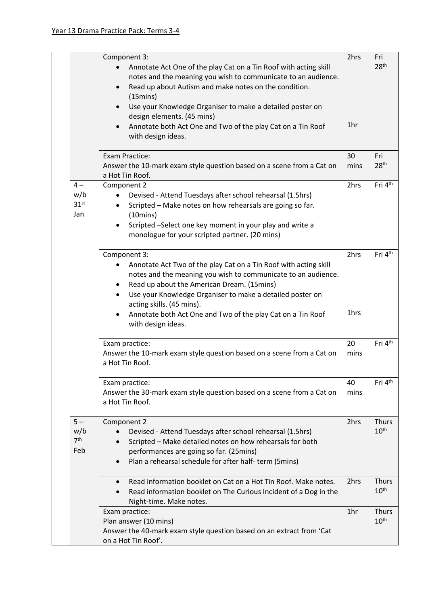|                                 | Component 3:<br>Annotate Act One of the play Cat on a Tin Roof with acting skill<br>notes and the meaning you wish to communicate to an audience.<br>Read up about Autism and make notes on the condition.<br>$\bullet$<br>$(15 \text{mins})$<br>Use your Knowledge Organiser to make a detailed poster on<br>design elements. (45 mins)<br>Annotate both Act One and Two of the play Cat on a Tin Roof<br>with design ideas. | 2hrs<br>1hr  | Fri<br>28 <sup>th</sup>          |
|---------------------------------|-------------------------------------------------------------------------------------------------------------------------------------------------------------------------------------------------------------------------------------------------------------------------------------------------------------------------------------------------------------------------------------------------------------------------------|--------------|----------------------------------|
|                                 | <b>Exam Practice:</b><br>Answer the 10-mark exam style question based on a scene from a Cat on<br>a Hot Tin Roof.                                                                                                                                                                                                                                                                                                             | 30<br>mins   | Fri<br>28 <sup>th</sup>          |
| $4-$<br>31 <sup>st</sup><br>Jan | Component 2<br>w/b<br>Devised - Attend Tuesdays after school rehearsal (1.5hrs)<br>$\bullet$<br>Scripted - Make notes on how rehearsals are going so far.<br>$(10 \text{mins})$<br>Scripted -Select one key moment in your play and write a<br>monologue for your scripted partner. (20 mins)                                                                                                                                 | 2hrs         | Fri 4 <sup>th</sup>              |
|                                 | Component 3:<br>Annotate Act Two of the play Cat on a Tin Roof with acting skill<br>٠<br>notes and the meaning you wish to communicate to an audience.<br>Read up about the American Dream. (15mins)<br>٠<br>Use your Knowledge Organiser to make a detailed poster on<br>$\bullet$<br>acting skills. (45 mins).<br>Annotate both Act One and Two of the play Cat on a Tin Roof<br>with design ideas.                         | 2hrs<br>1hrs | Fri 4 <sup>th</sup>              |
|                                 | Exam practice:<br>Answer the 10-mark exam style question based on a scene from a Cat on<br>a Hot Tin Roof.                                                                                                                                                                                                                                                                                                                    | 20<br>mins   | Fri 4 <sup>th</sup>              |
|                                 | Exam practice:<br>Answer the 30-mark exam style question based on a scene from a Cat on<br>a Hot Tin Roof.                                                                                                                                                                                                                                                                                                                    | 40<br>mins   | Fri 4th                          |
| $5 -$<br>7 <sup>th</sup><br>Feb | Component 2<br>w/b<br>Devised - Attend Tuesdays after school rehearsal (1.5hrs)<br>Scripted - Make detailed notes on how rehearsals for both<br>performances are going so far. (25mins)<br>Plan a rehearsal schedule for after half- term (5mins)                                                                                                                                                                             | 2hrs         | Thurs<br>$10^{\text{th}}$        |
|                                 | Read information booklet on Cat on a Hot Tin Roof. Make notes.<br>$\bullet$<br>Read information booklet on The Curious Incident of a Dog in the<br>Night-time. Make notes.                                                                                                                                                                                                                                                    | 2hrs         | <b>Thurs</b><br>10 <sup>th</sup> |
|                                 | Exam practice:<br>Plan answer (10 mins)<br>Answer the 40-mark exam style question based on an extract from 'Cat<br>on a Hot Tin Roof'.                                                                                                                                                                                                                                                                                        | 1hr          | <b>Thurs</b><br>10 <sup>th</sup> |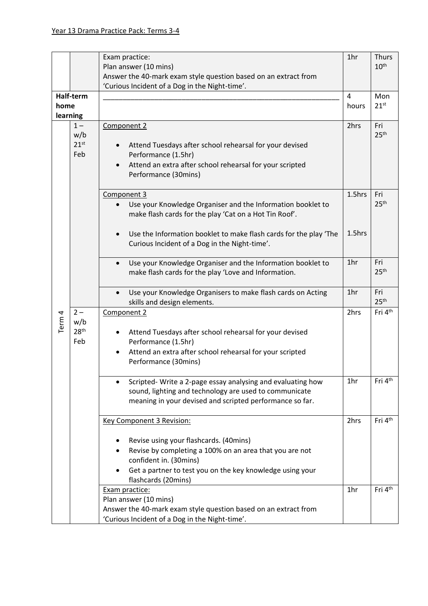|                   |                  | Exam practice:                                                                                                                   | 1 <sub>hr</sub> | <b>Thurs</b>            |
|-------------------|------------------|----------------------------------------------------------------------------------------------------------------------------------|-----------------|-------------------------|
|                   |                  | Plan answer (10 mins)                                                                                                            |                 | 10 <sup>th</sup>        |
|                   |                  | Answer the 40-mark exam style question based on an extract from                                                                  |                 |                         |
|                   |                  | 'Curious Incident of a Dog in the Night-time'.                                                                                   | $\overline{4}$  | Mon                     |
| Half-term<br>home |                  |                                                                                                                                  | hours           | 21 <sup>st</sup>        |
| learning          |                  |                                                                                                                                  |                 |                         |
|                   | $1 -$            | Component 2                                                                                                                      | 2hrs            | Fri                     |
|                   | w/b              |                                                                                                                                  |                 | 25 <sup>th</sup>        |
|                   | 21 <sup>st</sup> | Attend Tuesdays after school rehearsal for your devised                                                                          |                 |                         |
|                   | Feb              | Performance (1.5hr)                                                                                                              |                 |                         |
|                   |                  | Attend an extra after school rehearsal for your scripted                                                                         |                 |                         |
|                   |                  | Performance (30mins)                                                                                                             |                 |                         |
|                   |                  | Component 3                                                                                                                      | 1.5hrs          | Fri                     |
|                   |                  | Use your Knowledge Organiser and the Information booklet to<br>$\bullet$                                                         |                 | 25 <sup>th</sup>        |
|                   |                  | make flash cards for the play 'Cat on a Hot Tin Roof'.                                                                           |                 |                         |
|                   |                  |                                                                                                                                  |                 |                         |
|                   |                  | Use the Information booklet to make flash cards for the play 'The<br>$\bullet$                                                   | 1.5hrs          |                         |
|                   |                  | Curious Incident of a Dog in the Night-time'.                                                                                    |                 |                         |
|                   |                  |                                                                                                                                  |                 |                         |
|                   |                  | Use your Knowledge Organiser and the Information booklet to<br>$\bullet$<br>make flash cards for the play 'Love and Information. | 1hr             | Fri<br>25 <sup>th</sup> |
|                   |                  |                                                                                                                                  |                 |                         |
|                   |                  | Use your Knowledge Organisers to make flash cards on Acting<br>$\bullet$                                                         | 1hr             | Fri                     |
|                   |                  | skills and design elements.                                                                                                      |                 | 25 <sup>th</sup>        |
|                   | $2-$             | Component 2                                                                                                                      | 2hrs            | Fri 4 <sup>th</sup>     |
| Term <sub>4</sub> | w/b              |                                                                                                                                  |                 |                         |
|                   | 28 <sup>th</sup> | Attend Tuesdays after school rehearsal for your devised                                                                          |                 |                         |
|                   | Feb              | Performance (1.5hr)                                                                                                              |                 |                         |
|                   |                  | Attend an extra after school rehearsal for your scripted<br>Performance (30mins)                                                 |                 |                         |
|                   |                  |                                                                                                                                  |                 |                         |
|                   |                  | Scripted- Write a 2-page essay analysing and evaluating how<br>$\bullet$                                                         | 1 <sub>hr</sub> | Fri 4 <sup>th</sup>     |
|                   |                  | sound, lighting and technology are used to communicate                                                                           |                 |                         |
|                   |                  | meaning in your devised and scripted performance so far.                                                                         |                 |                         |
|                   |                  |                                                                                                                                  |                 |                         |
|                   |                  | <b>Key Component 3 Revision:</b>                                                                                                 | 2hrs            | Fri 4 <sup>th</sup>     |
|                   |                  |                                                                                                                                  |                 |                         |
|                   |                  | Revise using your flashcards. (40mins)                                                                                           |                 |                         |
|                   |                  | Revise by completing a 100% on an area that you are not<br>confident in. (30mins)                                                |                 |                         |
|                   |                  | Get a partner to test you on the key knowledge using your                                                                        |                 |                         |
|                   |                  | flashcards (20mins)                                                                                                              |                 |                         |
|                   |                  | Exam practice:                                                                                                                   | 1hr             | Fri 4th                 |
|                   |                  | Plan answer (10 mins)                                                                                                            |                 |                         |
|                   |                  | Answer the 40-mark exam style question based on an extract from                                                                  |                 |                         |
|                   |                  | 'Curious Incident of a Dog in the Night-time'.                                                                                   |                 |                         |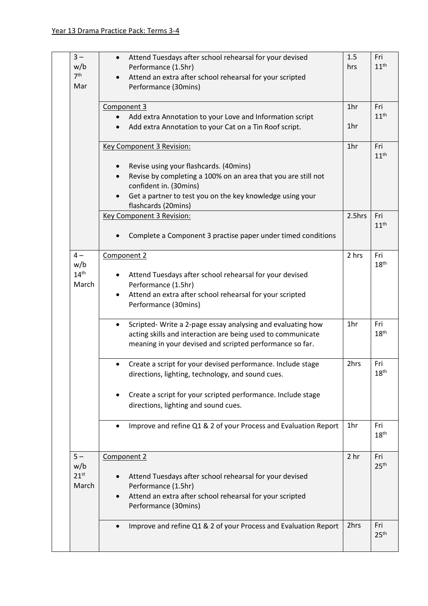| $3 -$<br>w/b            | Attend Tuesdays after school rehearsal for your devised<br>$\bullet$                                                    | 1.5<br>hrs      | Fri<br>11 <sup>th</sup> |
|-------------------------|-------------------------------------------------------------------------------------------------------------------------|-----------------|-------------------------|
| 7 <sup>th</sup>         | Performance (1.5hr)<br>Attend an extra after school rehearsal for your scripted                                         |                 |                         |
| Mar                     | Performance (30mins)                                                                                                    |                 |                         |
|                         | Component 3                                                                                                             | 1 <sub>hr</sub> | Fri                     |
|                         | Add extra Annotation to your Love and Information script                                                                |                 | 11 <sup>th</sup>        |
|                         | Add extra Annotation to your Cat on a Tin Roof script.                                                                  | 1hr             |                         |
|                         | Key Component 3 Revision:                                                                                               | 1 <sub>hr</sub> | Fri<br>11 <sup>th</sup> |
|                         | Revise using your flashcards. (40mins)                                                                                  |                 |                         |
|                         | Revise by completing a 100% on an area that you are still not                                                           |                 |                         |
|                         | confident in. (30mins)                                                                                                  |                 |                         |
|                         | Get a partner to test you on the key knowledge using your<br>flashcards (20mins)                                        |                 |                         |
|                         | <b>Key Component 3 Revision:</b>                                                                                        | 2.5hrs          | Fri                     |
|                         | Complete a Component 3 practise paper under timed conditions                                                            |                 | 11 <sup>th</sup>        |
| $4-$                    | Component 2                                                                                                             | 2 hrs           | Fri<br>18 <sup>th</sup> |
| w/b<br>14 <sup>th</sup> |                                                                                                                         |                 |                         |
| March                   | Attend Tuesdays after school rehearsal for your devised<br>Performance (1.5hr)                                          |                 |                         |
|                         | Attend an extra after school rehearsal for your scripted<br>$\bullet$                                                   |                 |                         |
|                         | Performance (30mins)                                                                                                    |                 |                         |
|                         | Scripted- Write a 2-page essay analysing and evaluating how<br>$\bullet$                                                | 1 <sub>hr</sub> | Fri                     |
|                         | acting skills and interaction are being used to communicate<br>meaning in your devised and scripted performance so far. |                 | 18 <sup>th</sup>        |
|                         | Create a script for your devised performance. Include stage<br>$\bullet$                                                | 2hrs            | Fri                     |
|                         | directions, lighting, technology, and sound cues.                                                                       |                 | 18 <sup>th</sup>        |
|                         | Create a script for your scripted performance. Include stage                                                            |                 |                         |
|                         | directions, lighting and sound cues.                                                                                    |                 |                         |
|                         | Improve and refine Q1 & 2 of your Process and Evaluation Report                                                         | 1 <sub>hr</sub> | Fri<br>18 <sup>th</sup> |
| $5 -$                   | Component 2                                                                                                             | 2 <sub>hr</sub> | Fri                     |
| w/b<br>21 <sup>st</sup> | Attend Tuesdays after school rehearsal for your devised                                                                 |                 | 25 <sup>th</sup>        |
| March                   | Performance (1.5hr)                                                                                                     |                 |                         |
|                         | Attend an extra after school rehearsal for your scripted                                                                |                 |                         |
|                         | Performance (30mins)                                                                                                    |                 |                         |
|                         | Improve and refine Q1 & 2 of your Process and Evaluation Report                                                         | 2hrs            | Fri                     |
|                         |                                                                                                                         |                 | 25 <sup>th</sup>        |
|                         |                                                                                                                         |                 |                         |